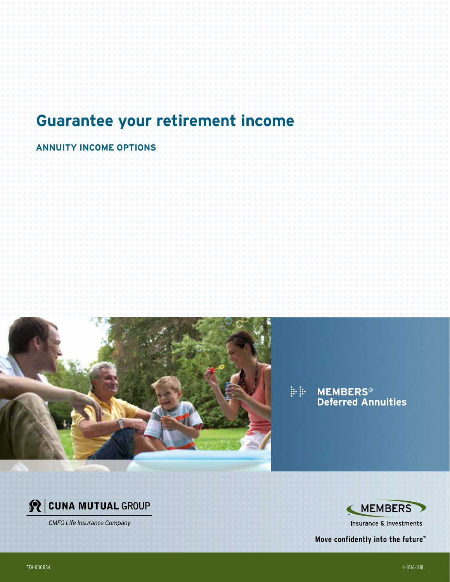# **Guarantee your retirement income**

**ANNUITY INCOME OPTIONS**



**MEMBERS® Deferred Annuities**



**CMFG Life Insurance Company** 



**Insurance & Investments** 

**Move confidently into the future™**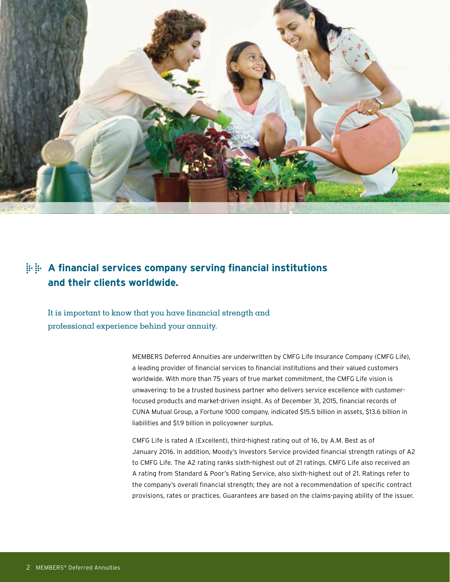

# **A financial services company serving financial institutions and their clients worldwide.**

It is important to know that you have financial strength and professional experience behind your annuity.

> MEMBERS Deferred Annuities are underwritten by CMFG Life Insurance Company (CMFG Life), a leading provider of financial services to financial institutions and their valued customers worldwide. With more than 75 years of true market commitment, the CMFG Life vision is unwavering: to be a trusted business partner who delivers service excellence with customerfocused products and market-driven insight. As of December 31, 2015, financial records of CUNA Mutual Group, a Fortune 1000 company, indicated \$15.5 billion in assets, \$13.6 billion in liabilities and \$1.9 billion in policyowner surplus.

CMFG Life is rated A (Excellent), third-highest rating out of 16, by A.M. Best as of January 2016. In addition, Moody's Investors Service provided financial strength ratings of A2 to CMFG Life. The A2 rating ranks sixth-highest out of 21 ratings. CMFG Life also received an A rating from Standard & Poor's Rating Service, also sixth-highest out of 21. Ratings refer to the company's overall financial strength; they are not a recommendation of specific contract provisions, rates or practices. Guarantees are based on the claims-paying ability of the issuer.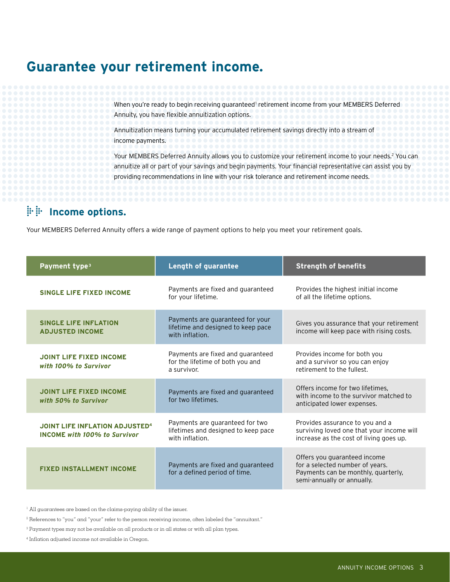# **Guarantee your retirement income.**

When you're ready to begin receiving guaranteed<sup>1</sup> retirement income from your MEMBERS Deferred Annuity, you have flexible annuitization options.

Annuitization means turning your accumulated retirement savings directly into a stream of income payments.

Your MEMBERS Deferred Annuity allows you to customize your retirement income to your needs.<sup>2</sup> You can annuitize all or part of your savings and begin payments. Your financial representative can assist you by providing recommendations in line with your risk tolerance and retirement income needs.

## **Income options.**

Your MEMBERS Deferred Annuity offers a wide range of payment options to help you meet your retirement goals.

| Payment type <sup>3</sup>                                                    | <b>Length of guarantee</b>                                                                | <b>Strength of benefits</b>                                                                                                          |
|------------------------------------------------------------------------------|-------------------------------------------------------------------------------------------|--------------------------------------------------------------------------------------------------------------------------------------|
| <b>SINGLE LIFE FIXED INCOME</b>                                              | Payments are fixed and guaranteed<br>for your lifetime.                                   | Provides the highest initial income<br>of all the lifetime options.                                                                  |
| <b>SINGLE LIFE INFLATION</b><br><b>ADJUSTED INCOME</b>                       | Payments are guaranteed for your<br>lifetime and designed to keep pace<br>with inflation. | Gives you assurance that your retirement<br>income will keep pace with rising costs.                                                 |
| <b>JOINT LIFE FIXED INCOME</b><br>with 100% to Survivor                      | Payments are fixed and guaranteed<br>for the lifetime of both you and<br>a survivor.      | Provides income for both you<br>and a survivor so you can enjoy<br>retirement to the fullest.                                        |
| <b>JOINT LIFE FIXED INCOME</b><br>with 50% to Survivor                       | Payments are fixed and guaranteed<br>for two lifetimes.                                   | Offers income for two lifetimes.<br>with income to the survivor matched to<br>anticipated lower expenses.                            |
| <b>JOINT LIFE INFLATION ADJUSTED4</b><br><b>INCOME with 100% to Survivor</b> | Payments are guaranteed for two<br>lifetimes and designed to keep pace<br>with inflation. | Provides assurance to you and a<br>surviving loved one that your income will<br>increase as the cost of living goes up.              |
| <b>FIXED INSTALLMENT INCOME</b>                                              | Payments are fixed and guaranteed<br>for a defined period of time.                        | Offers you guaranteed income<br>for a selected number of years.<br>Payments can be monthly, quarterly,<br>semi-annually or annually. |

<sup>1</sup> All guarantees are based on the claims-paying ability of the issuer.

<sup>2</sup> References to "you" and "your" refer to the person receiving income, often labeled the "annuitant."

<sup>3</sup> Payment types may not be available on all products or in all states or with all plan types.

<sup>4</sup> Inflation adjusted income not available in Oregon.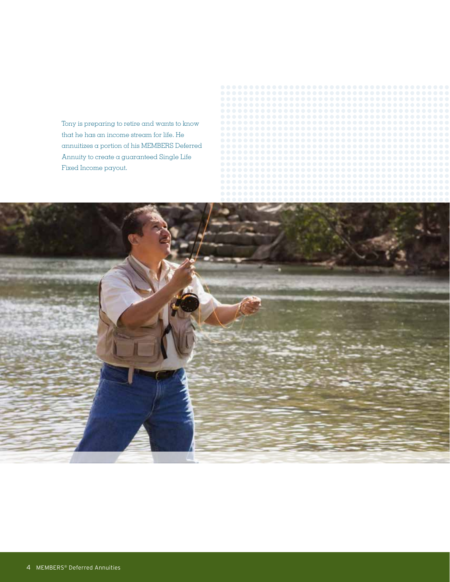Tony is preparing to retire and wants to know that he has an income stream for life. He annuitizes a portion of his MEMBERS Deferred Annuity to create a guaranteed Single Life Fixed Income payout.

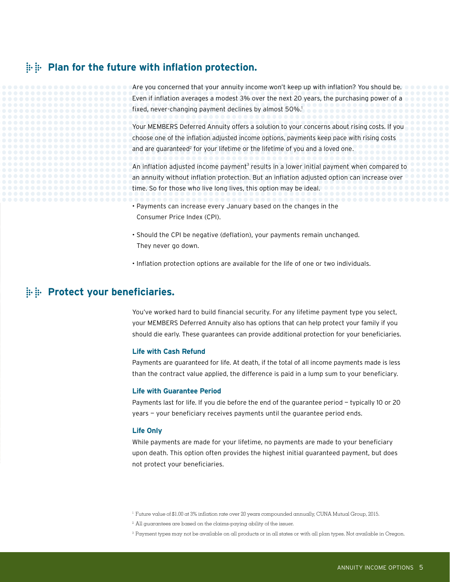### **Plan for the future with inflation protection.**

Are you concerned that your annuity income won't keep up with inflation? You should be. Even if inflation averages a modest 3% over the next 20 years, the purchasing power of a fixed, never-changing payment declines by almost 50%.<sup>1</sup>

Your MEMBERS Deferred Annuity offers a solution to your concerns about rising costs. If you choose one of the inflation adjusted income options, payments keep pace with rising costs and are guaranteed<sup>2</sup> for your lifetime or the lifetime of you and a loved one.

An inflation adjusted income payment<sup>3</sup> results in a lower initial payment when compared to an annuity without inflation protection. But an inflation adjusted option can increase over time. So for those who live long lives, this option may be ideal.

- Payments can increase every January based on the changes in the Consumer Price Index (CPI).
- Should the CPI be negative (deflation), your payments remain unchanged. They never go down.
- Inflation protection options are available for the life of one or two individuals.

# $\therefore$  Protect your beneficiaries.

You've worked hard to build financial security. For any lifetime payment type you select, your MEMBERS Deferred Annuity also has options that can help protect your family if you should die early. These guarantees can provide additional protection for your beneficiaries.

#### **Life with Cash Refund**

Payments are guaranteed for life. At death, if the total of all income payments made is less than the contract value applied, the difference is paid in a lump sum to your beneficiary.

#### **Life with Guarantee Period**

Payments last for life. If you die before the end of the guarantee period — typically 10 or 20 years — your beneficiary receives payments until the guarantee period ends.

#### **Life Only**

While payments are made for your lifetime, no payments are made to your beneficiary upon death. This option often provides the highest initial guaranteed payment, but does not protect your beneficiaries.

- <sup>1</sup> Future value of \$1.00 at 3% inflation rate over 20 years compounded annually, CUNA Mutual Group, 2015.
- <sup>2</sup> All guarantees are based on the claims-paying ability of the issuer.
- <sup>3</sup> Payment types may not be available on all products or in all states or with all plan types. Not available in Oregon.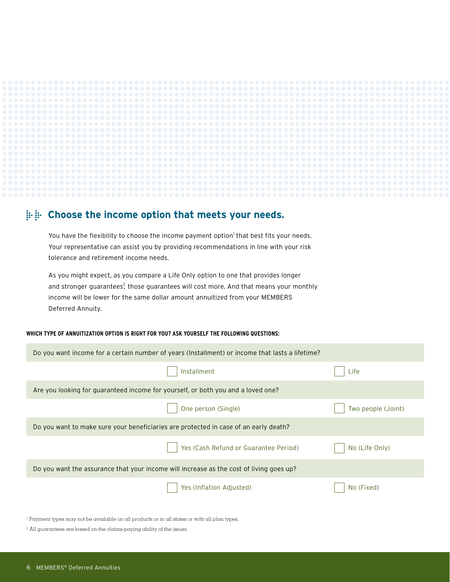

### **Choose the income option that meets your needs.**

You have the flexibility to choose the income payment option<sup>1</sup> that best fits your needs. Your representative can assist you by providing recommendations in line with your risk tolerance and retirement income needs.

As you might expect, as you compare a Life Only option to one that provides longer and stronger guarantees<sup>2</sup>, those guarantees will cost more. And that means your monthly income will be lower for the same dollar amount annuitized from your MEMBERS Deferred Annuity.

#### **WHICH TYPE OF ANNUITIZATION OPTION IS RIGHT FOR YOU? ASK YOURSELF THE FOLLOWING QUESTIONS:**

| Do you want income for a certain number of years (Installment) or income that lasts a lifetime? |                                       |                    |  |
|-------------------------------------------------------------------------------------------------|---------------------------------------|--------------------|--|
|                                                                                                 | Installment                           | Life               |  |
| Are you looking for guaranteed income for yourself, or both you and a loved one?                |                                       |                    |  |
|                                                                                                 | One person (Single)                   | Two people (Joint) |  |
| Do you want to make sure your beneficiaries are protected in case of an early death?            |                                       |                    |  |
|                                                                                                 | Yes (Cash Refund or Guarantee Period) | No (Life Only)     |  |
| Do you want the assurance that your income will increase as the cost of living goes up?         |                                       |                    |  |
|                                                                                                 | Yes (Inflation Adjusted)              | No (Fixed)         |  |

<sup>1</sup> Payment types may not be available on all products or in all states or with all plan types.

<sup>2</sup> All guarantees are based on the claims-paying ability of the issuer.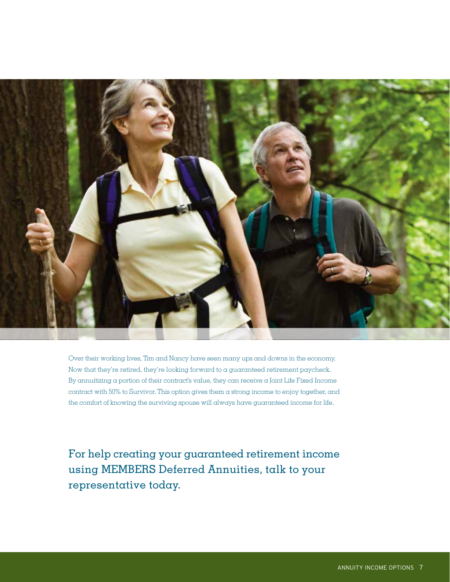

Over their working lives, Tim and Nancy have seen many ups and downs in the economy. Now that they're retired, they're looking forward to a guaranteed retirement paycheck. By annuitizing a portion of their contract's value, they can receive a Joint Life Fixed Income contract with 50% to Survivor. This option gives them a strong income to enjoy together, and the comfort of knowing the surviving spouse will always have guaranteed income for life.

For help creating your guaranteed retirement income using MEMBERS Deferred Annuities, talk to your representative today.